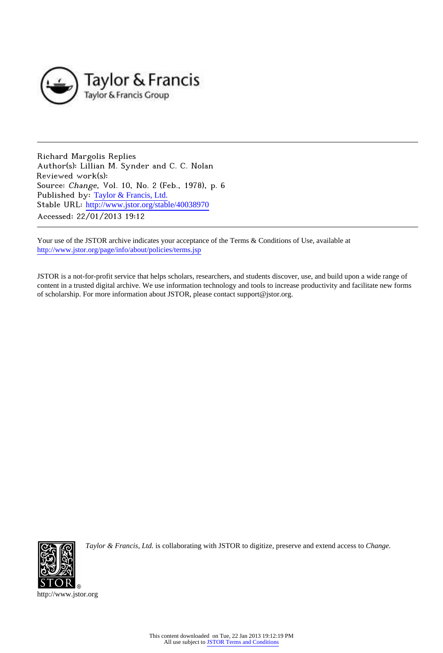

Richard Margolis Replies Author(s): Lillian M. Synder and C. C. Nolan Reviewed work(s): Source: Change, Vol. 10, No. 2 (Feb., 1978), p. 6 Published by: [Taylor & Francis, Ltd.](http://www.jstor.org/action/showPublisher?publisherCode=taylorfrancis) Stable URL: http://www.jstor.org/stable/40038970 Accessed: 22/01/2013 19:12

Your use of the JSTOR archive indicates your acceptance of the Terms & Conditions of Use, available at <http://www.jstor.org/page/info/about/policies/terms.jsp>

JSTOR is a not-for-profit service that helps scholars, researchers, and students discover, use, and build upon a wide range of content in a trusted digital archive. We use information technology and tools to increase productivity and facilitate new forms of scholarship. For more information about JSTOR, please contact support@jstor.org.



*Taylor & Francis, Ltd.* is collaborating with JSTOR to digitize, preserve and extend access to *Change.*

http://www.jstor.org